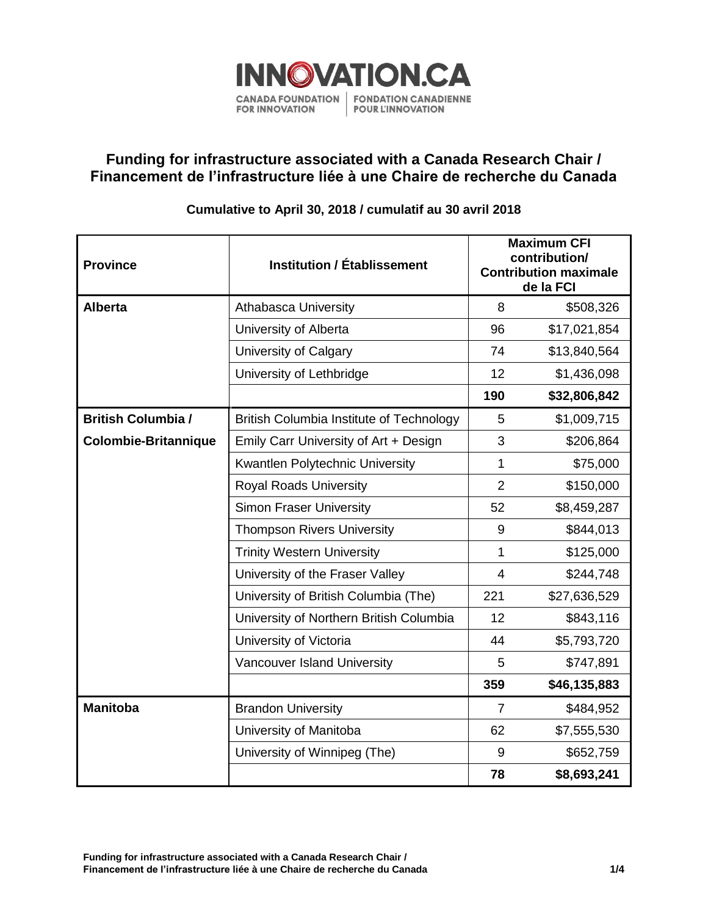

## **Funding for infrastructure associated with a Canada Research Chair / Financement de l'infrastructure liée à une Chaire de recherche du Canada**

## **Cumulative to April 30, 2018 / cumulatif au 30 avril 2018**

| <b>Province</b>             | <b>Institution / Établissement</b>              | <b>Maximum CFI</b><br>contribution/<br><b>Contribution maximale</b><br>de la FCI |              |
|-----------------------------|-------------------------------------------------|----------------------------------------------------------------------------------|--------------|
| <b>Alberta</b>              | <b>Athabasca University</b>                     | 8                                                                                | \$508,326    |
|                             | University of Alberta                           | 96                                                                               | \$17,021,854 |
|                             | University of Calgary                           | 74                                                                               | \$13,840,564 |
|                             | University of Lethbridge                        | 12                                                                               | \$1,436,098  |
|                             |                                                 | 190                                                                              | \$32,806,842 |
| <b>British Columbia /</b>   | <b>British Columbia Institute of Technology</b> | 5                                                                                | \$1,009,715  |
| <b>Colombie-Britannique</b> | Emily Carr University of Art + Design           | 3                                                                                | \$206,864    |
|                             | Kwantlen Polytechnic University                 | 1                                                                                | \$75,000     |
|                             | <b>Royal Roads University</b>                   | $\overline{2}$                                                                   | \$150,000    |
|                             | <b>Simon Fraser University</b>                  | 52                                                                               | \$8,459,287  |
|                             | <b>Thompson Rivers University</b>               | $9\,$                                                                            | \$844,013    |
|                             | <b>Trinity Western University</b>               | 1                                                                                | \$125,000    |
|                             | University of the Fraser Valley                 | $\overline{4}$                                                                   | \$244,748    |
|                             | University of British Columbia (The)            | 221                                                                              | \$27,636,529 |
|                             | University of Northern British Columbia         | 12                                                                               | \$843,116    |
|                             | University of Victoria                          | 44                                                                               | \$5,793,720  |
|                             | Vancouver Island University                     | 5                                                                                | \$747,891    |
|                             |                                                 | 359                                                                              | \$46,135,883 |
| <b>Manitoba</b>             | <b>Brandon University</b>                       | $\overline{7}$                                                                   | \$484,952    |
|                             | University of Manitoba                          | 62                                                                               | \$7,555,530  |
|                             | University of Winnipeg (The)                    | 9                                                                                | \$652,759    |
|                             |                                                 | 78                                                                               | \$8,693,241  |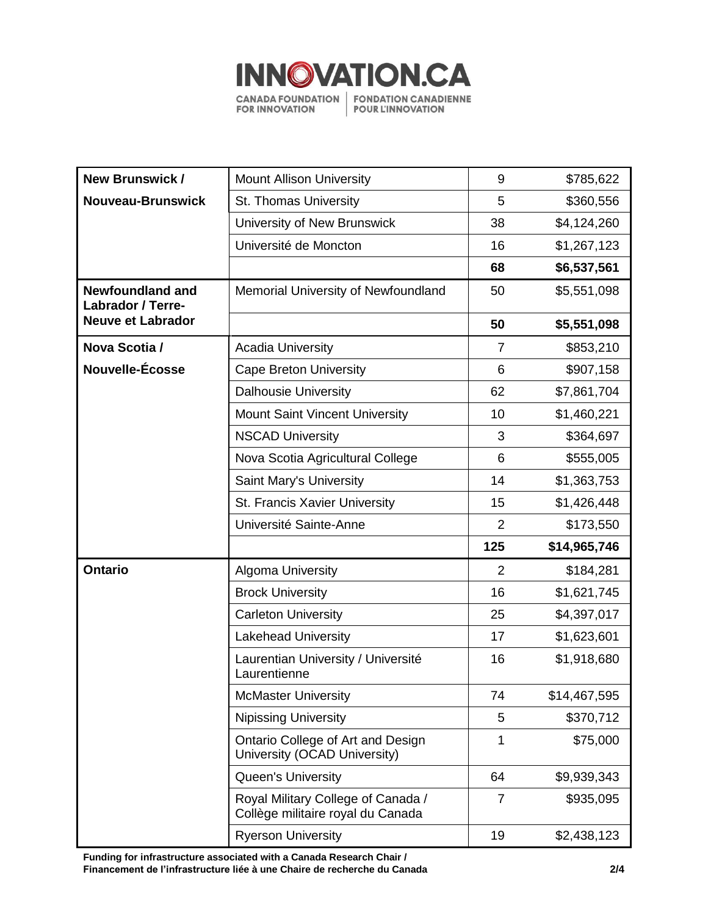

| <b>New Brunswick /</b>                              | <b>Mount Allison University</b>                                         | 9              | \$785,622    |
|-----------------------------------------------------|-------------------------------------------------------------------------|----------------|--------------|
| <b>Nouveau-Brunswick</b>                            | St. Thomas University                                                   | 5              | \$360,556    |
|                                                     | University of New Brunswick                                             | 38             | \$4,124,260  |
|                                                     | Université de Moncton                                                   | 16             | \$1,267,123  |
|                                                     |                                                                         | 68             | \$6,537,561  |
| <b>Newfoundland and</b><br><b>Labrador / Terre-</b> | Memorial University of Newfoundland                                     | 50             | \$5,551,098  |
| <b>Neuve et Labrador</b>                            |                                                                         | 50             | \$5,551,098  |
| Nova Scotia /                                       | <b>Acadia University</b>                                                | $\overline{7}$ | \$853,210    |
| Nouvelle-Écosse                                     | <b>Cape Breton University</b>                                           | 6              | \$907,158    |
|                                                     | <b>Dalhousie University</b>                                             | 62             | \$7,861,704  |
|                                                     | <b>Mount Saint Vincent University</b>                                   | 10             | \$1,460,221  |
|                                                     | <b>NSCAD University</b>                                                 | 3              | \$364,697    |
|                                                     | Nova Scotia Agricultural College                                        | 6              | \$555,005    |
|                                                     | Saint Mary's University                                                 | 14             | \$1,363,753  |
|                                                     | St. Francis Xavier University                                           | 15             | \$1,426,448  |
|                                                     | Université Sainte-Anne                                                  | $\overline{2}$ | \$173,550    |
|                                                     |                                                                         | 125            | \$14,965,746 |
| <b>Ontario</b>                                      | <b>Algoma University</b>                                                | $\overline{2}$ | \$184,281    |
|                                                     | <b>Brock University</b>                                                 | 16             | \$1,621,745  |
|                                                     | <b>Carleton University</b>                                              | 25             | \$4,397,017  |
|                                                     | <b>Lakehead University</b>                                              | 17             | \$1,623,601  |
|                                                     | Laurentian University / Université<br>Laurentienne                      | 16             | \$1,918,680  |
|                                                     | <b>McMaster University</b>                                              | 74             | \$14,467,595 |
|                                                     | <b>Nipissing University</b>                                             | 5              | \$370,712    |
|                                                     | Ontario College of Art and Design<br>University (OCAD University)       | 1              | \$75,000     |
|                                                     |                                                                         |                |              |
|                                                     | Queen's University                                                      | 64             | \$9,939,343  |
|                                                     | Royal Military College of Canada /<br>Collège militaire royal du Canada | 7              | \$935,095    |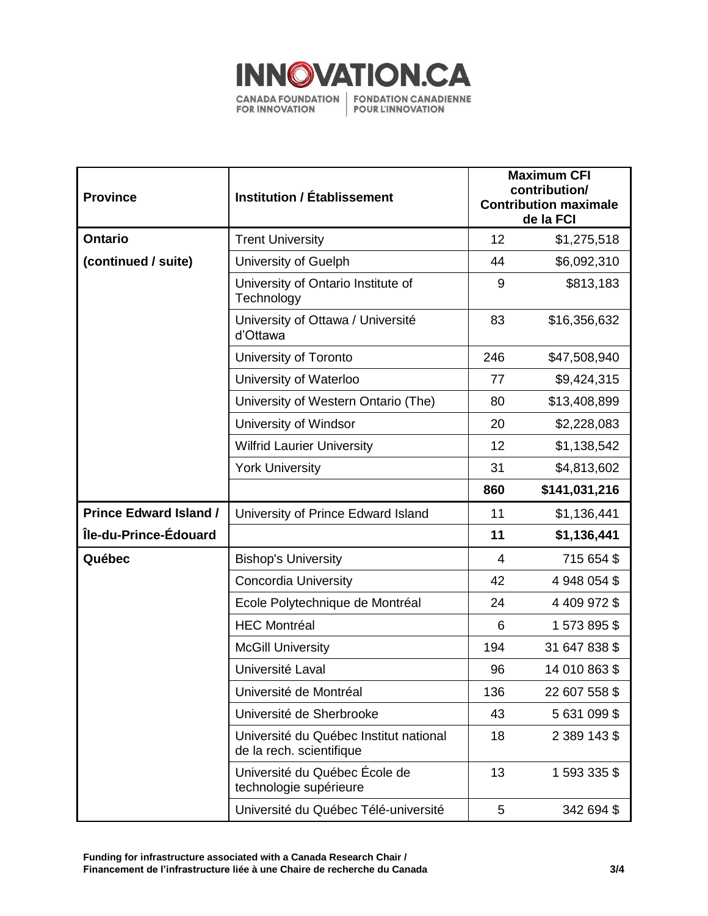

| <b>Province</b>               | <b>Institution / Établissement</b>                                 | <b>Maximum CFI</b><br>contribution/<br><b>Contribution maximale</b><br>de la FCI |               |
|-------------------------------|--------------------------------------------------------------------|----------------------------------------------------------------------------------|---------------|
| <b>Ontario</b>                | <b>Trent University</b>                                            | 12                                                                               | \$1,275,518   |
| (continued / suite)           | University of Guelph                                               | 44                                                                               | \$6,092,310   |
|                               | University of Ontario Institute of<br>Technology                   | 9                                                                                | \$813,183     |
|                               | University of Ottawa / Université<br>d'Ottawa                      | 83                                                                               | \$16,356,632  |
|                               | University of Toronto                                              | 246                                                                              | \$47,508,940  |
|                               | University of Waterloo                                             | 77                                                                               | \$9,424,315   |
|                               | University of Western Ontario (The)                                | 80                                                                               | \$13,408,899  |
|                               | University of Windsor                                              | 20                                                                               | \$2,228,083   |
|                               | <b>Wilfrid Laurier University</b>                                  | 12                                                                               | \$1,138,542   |
|                               | <b>York University</b>                                             | 31                                                                               | \$4,813,602   |
|                               |                                                                    | 860                                                                              | \$141,031,216 |
| <b>Prince Edward Island /</b> | University of Prince Edward Island                                 | 11                                                                               | \$1,136,441   |
| Île-du-Prince-Édouard         |                                                                    | 11                                                                               | \$1,136,441   |
| Québec                        | <b>Bishop's University</b>                                         | $\overline{4}$                                                                   | 715 654 \$    |
|                               | <b>Concordia University</b>                                        | 42                                                                               | 4 948 054 \$  |
|                               | Ecole Polytechnique de Montréal                                    | 24                                                                               | 4 409 972 \$  |
|                               | <b>HEC Montréal</b>                                                | 6                                                                                | 1573895\$     |
|                               | <b>McGill University</b>                                           | 194                                                                              | 31 647 838 \$ |
|                               | Université Laval                                                   | 96                                                                               | 14 010 863 \$ |
|                               | Université de Montréal                                             | 136                                                                              | 22 607 558 \$ |
|                               | Université de Sherbrooke                                           | 43                                                                               | 5631099\$     |
|                               | Université du Québec Institut national<br>de la rech. scientifique | 18                                                                               | 2 389 143 \$  |
|                               | Université du Québec École de<br>technologie supérieure            | 13                                                                               | 1 593 335 \$  |
|                               | Université du Québec Télé-université                               | 5                                                                                | 342 694 \$    |